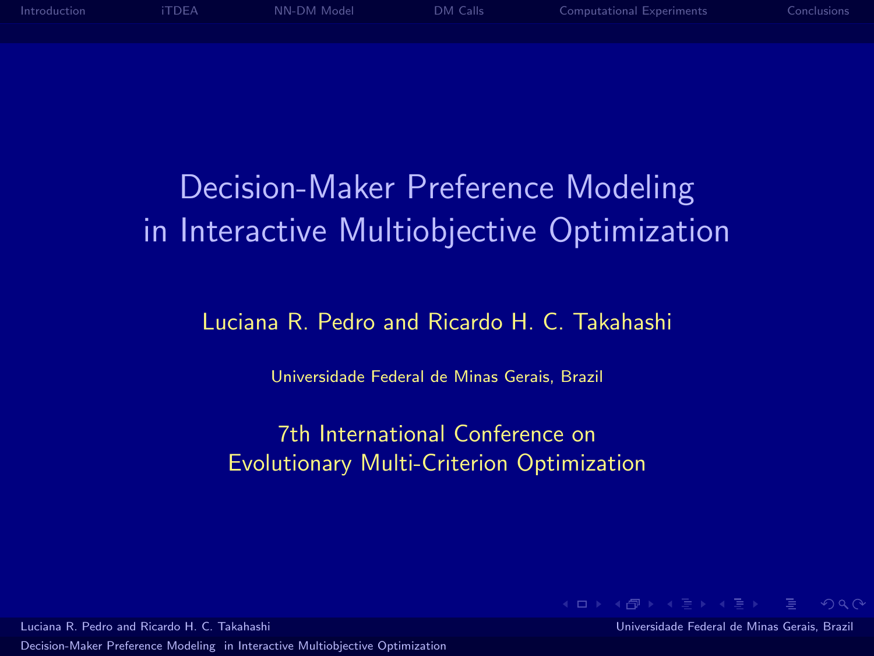

# Decision-Maker Preference Modeling in Interactive Multiobjective Optimization

#### Luciana R. Pedro and Ricardo H. C. Takahashi

Universidade Federal de Minas Gerais, Brazil

7th International Conference on Evolutionary Multi-Criterion Optimization

Luciana R. Pedro and Ricardo H. C. Takahashi Universidade Federal de Minas Gerais, Brazil

<span id="page-0-0"></span>**KEIN KARIK BI KEIN DE KORO**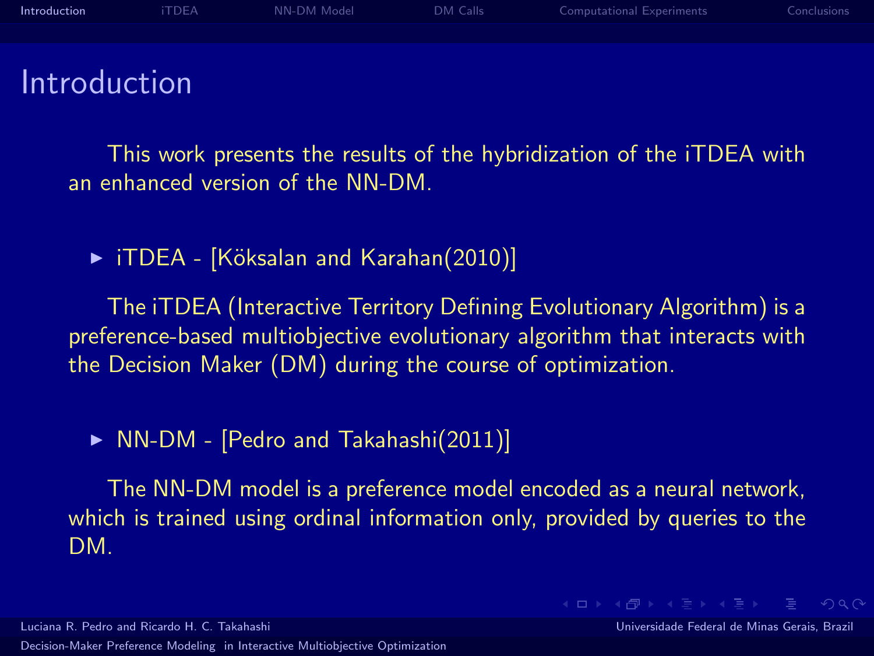

#### Introduction

This work presents the results of the hybridization of the iTDEA with an enhanced version of the NN-DM.

▶ iTDEA - [Köksalan and Karahan(2010)]

The iTDEA (Interactive Territory Defining Evolutionary Algorithm) is a preference-based multiobjective evolutionary algorithm that interacts with the Decision Maker (DM) during the course of optimization.

 $\triangleright$  NN-DM - [\[Pedro and Takahashi\(2011\)\]](#page-18-1)

The NN-DM model is a preference model encoded as a neural network, which is trained using ordinal information only, provided by queries to the DM.

Luciana R. Pedro and Ricardo H. C. Takahashi Universidade Federal de Minas Gerais, Brazil [Decision-Maker Preference Modeling in Interactive Multiobjective Optimization](#page-0-0)

<span id="page-1-0"></span>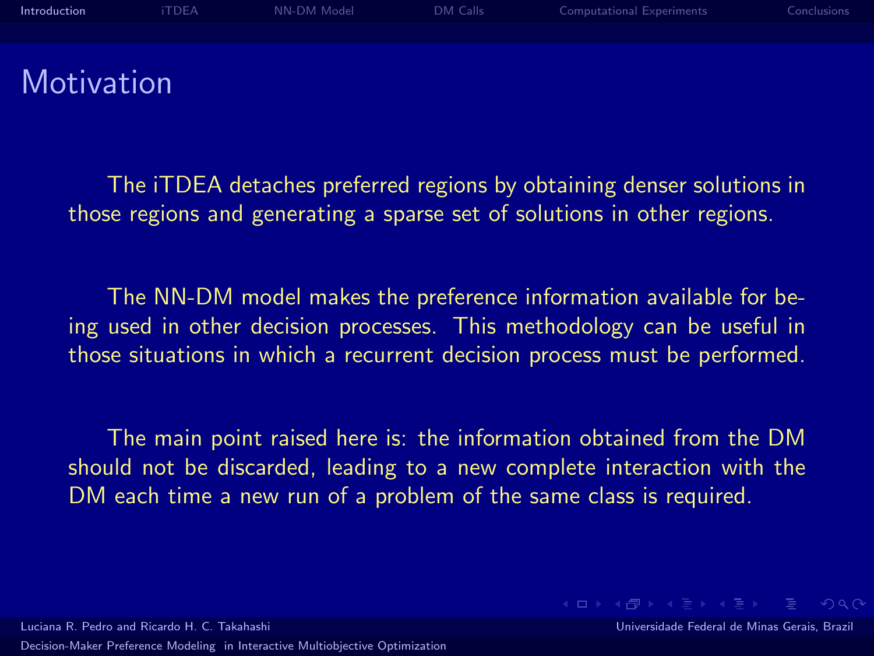

The iTDEA detaches preferred regions by obtaining denser solutions in those regions and generating a sparse set of solutions in other regions.

The NN-DM model makes the preference information available for being used in other decision processes. This methodology can be useful in those situations in which a recurrent decision process must be performed.

The main point raised here is: the information obtained from the DM should not be discarded, leading to a new complete interaction with the DM each time a new run of a problem of the same class is required.

Luciana R. Pedro and Ricardo H. C. Takahashi Universidade Federal de Minas Gerais, Brazil

**KEIN KARIK BI KEIN DE KORO**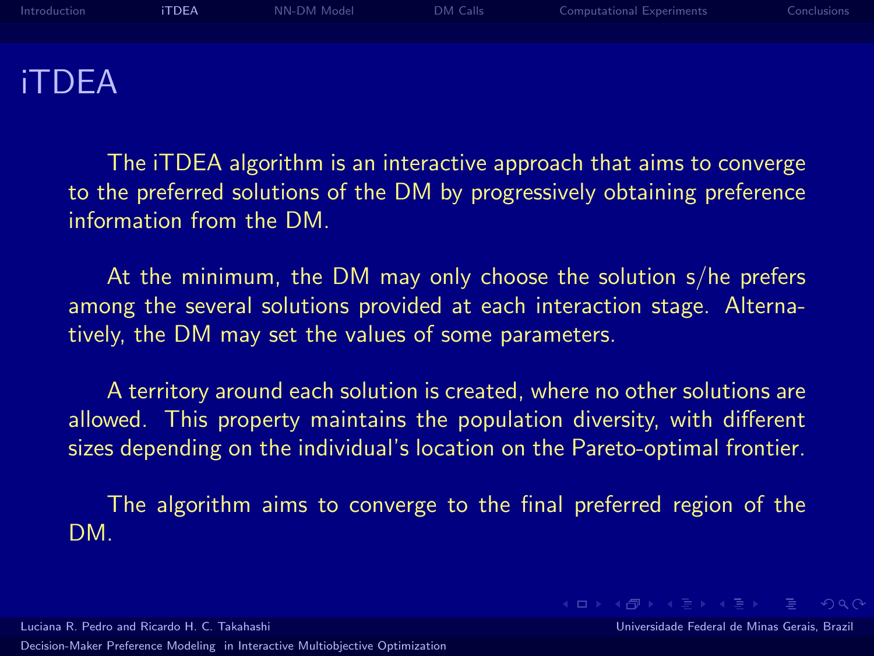[Introduction](#page-1-0) **[iTDEA](#page-3-0)** [NN-DM Model](#page-6-0) [DM Calls](#page-9-0) [Computational Experiments](#page-11-0) [Conclusions](#page-17-0) iTDEA

The iTDEA algorithm is an interactive approach that aims to converge to the preferred solutions of the DM by progressively obtaining preference information from the DM.

At the minimum, the DM may only choose the solution s/he prefers among the several solutions provided at each interaction stage. Alternatively, the DM may set the values of some parameters.

A territory around each solution is created, where no other solutions are allowed. This property maintains the population diversity, with different sizes depending on the individual's location on the Pareto-optimal frontier.

<span id="page-3-0"></span>The algorithm aims to converge to the final preferred region of the DM.

[Decision-Maker Preference Modeling in Interactive Multiobjective Optimization](#page-0-0)

Luciana R. Pedro and Ricardo H. C. Takahashi Universidade Federal de Minas Gerais, Brazil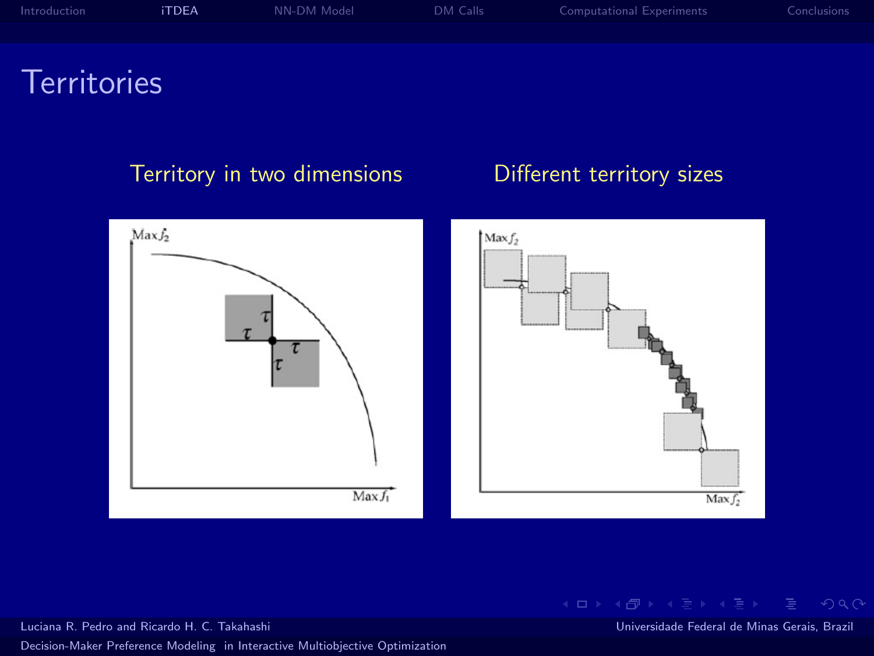| Introduction | <b>iTDEA</b> | NN-DM Model | DM Calls | Computational Experiments | Conclusions |
|--------------|--------------|-------------|----------|---------------------------|-------------|
|              |              |             |          |                           |             |
|              |              |             |          |                           |             |

#### Territories

#### Territory in two dimensions **Different territory sizes**



K ロ ▶ K 個 ▶ K ヨ ▶ K ヨ ▶ │ ヨ │ め Q Q ◇

Luciana R. Pedro and Ricardo H. C. Takahashi Universidade Federal de Minas Gerais, Brazil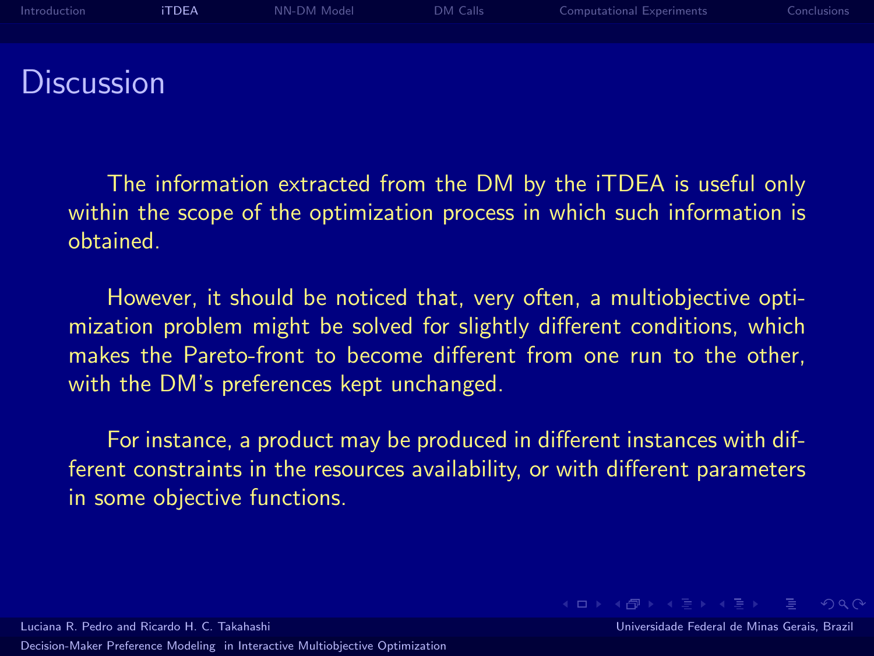

The information extracted from the DM by the iTDEA is useful only within the scope of the optimization process in which such information is obtained.

However, it should be noticed that, very often, a multiobjective optimization problem might be solved for slightly different conditions, which makes the Pareto-front to become different from one run to the other, with the DM's preferences kept unchanged.

For instance, a product may be produced in different instances with different constraints in the resources availability, or with different parameters in some objective functions.

Luciana R. Pedro and Ricardo H. C. Takahashi Universidade Federal de Minas Gerais, Brazil [Decision-Maker Preference Modeling in Interactive Multiobjective Optimization](#page-0-0)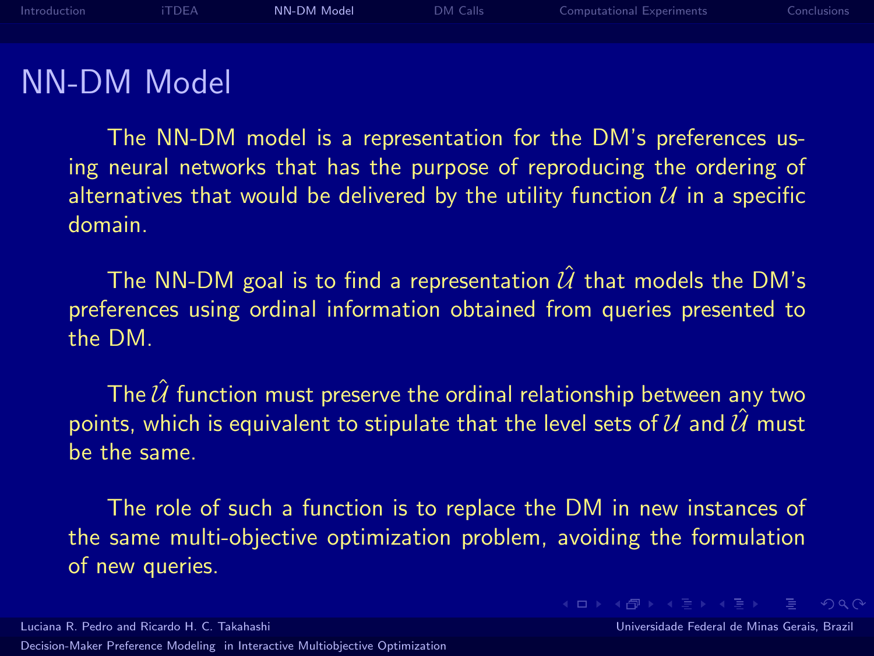

#### NN-DM Model

The NN-DM model is a representation for the DM's preferences using neural networks that has the purpose of reproducing the ordering of alternatives that would be delivered by the utility function  $U$  in a specific domain.

The NN-DM goal is to find a representation  $\hat{U}$  that models the DM's preferences using ordinal information obtained from queries presented to the DM.

The  $\hat{U}$  function must preserve the ordinal relationship between any two points, which is equivalent to stipulate that the level sets of  $U$  and  $\hat{U}$  must be the same.

<span id="page-6-0"></span>The role of such a function is to replace the DM in new instances of the same multi-objective optimization problem, avoiding the formulation of new queries.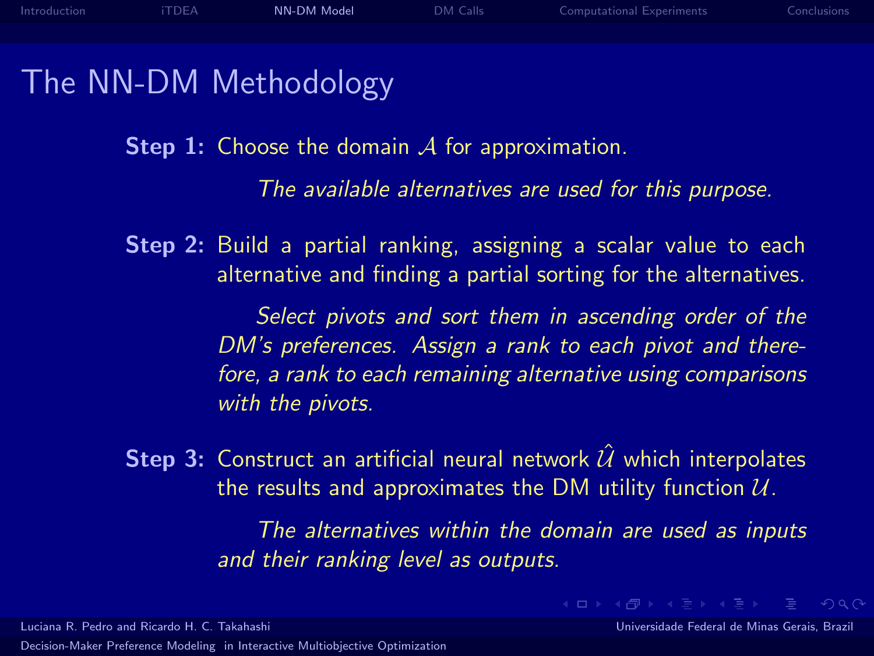#### The NN-DM Methodology

**Step 1:** Choose the domain  $\mathcal A$  for approximation.

The available alternatives are used for this purpose.

Step 2: Build a partial ranking, assigning a scalar value to each alternative and finding a partial sorting for the alternatives.

> Select pivots and sort them in ascending order of the DM's preferences. Assign a rank to each pivot and therefore, a rank to each remaining alternative using comparisons with the pivots.

**Step 3:** Construct an artificial neural network  $\hat{U}$  which interpolates the results and approximates the DM utility function  $U$ .

> The alternatives within the domain are used as inputs and their ranking level as outputs.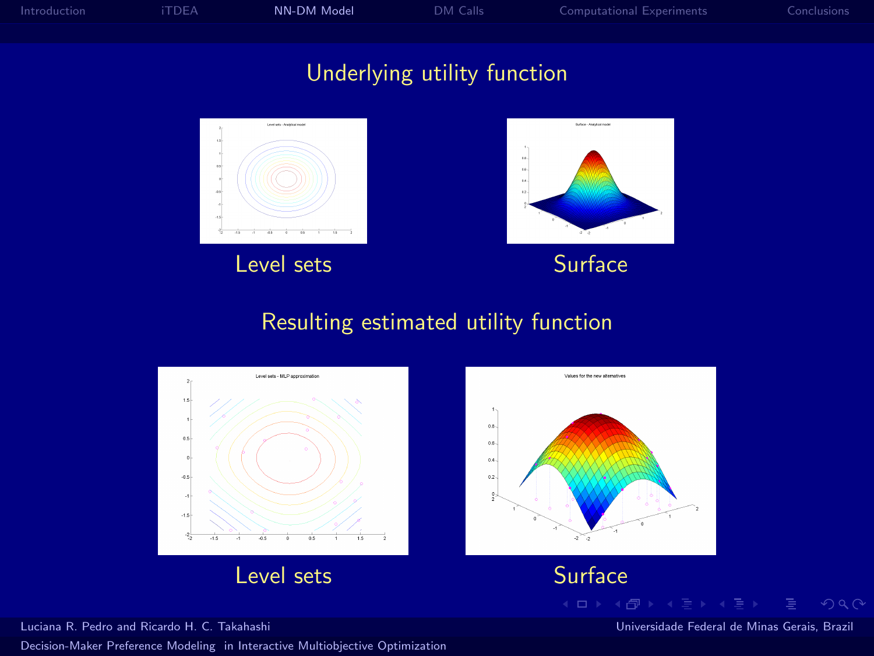



#### Resulting estimated utility function

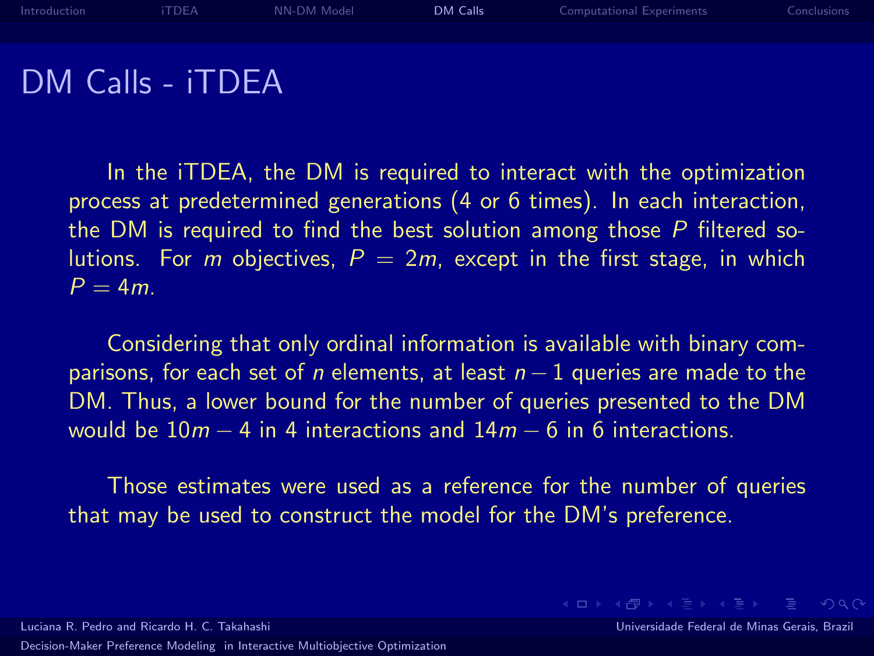

DM Calls - iTDEA

In the iTDEA, the DM is required to interact with the optimization process at predetermined generations (4 or 6 times). In each interaction, the DM is required to find the best solution among those  $P$  filtered solutions. For m objectives,  $P = 2m$ , except in the first stage, in which  $P = 4m$ 

Considering that only ordinal information is available with binary comparisons, for each set of n elements, at least  $n-1$  queries are made to the DM. Thus, a lower bound for the number of queries presented to the DM would be  $10m - 4$  in 4 interactions and  $14m - 6$  in 6 interactions.

Those estimates were used as a reference for the number of queries that may be used to construct the model for the DM's preference.

Luciana R. Pedro and Ricardo H. C. Takahashi Universidade Federal de Minas Gerais, Brazil [Decision-Maker Preference Modeling in Interactive Multiobjective Optimization](#page-0-0)

<span id="page-9-0"></span>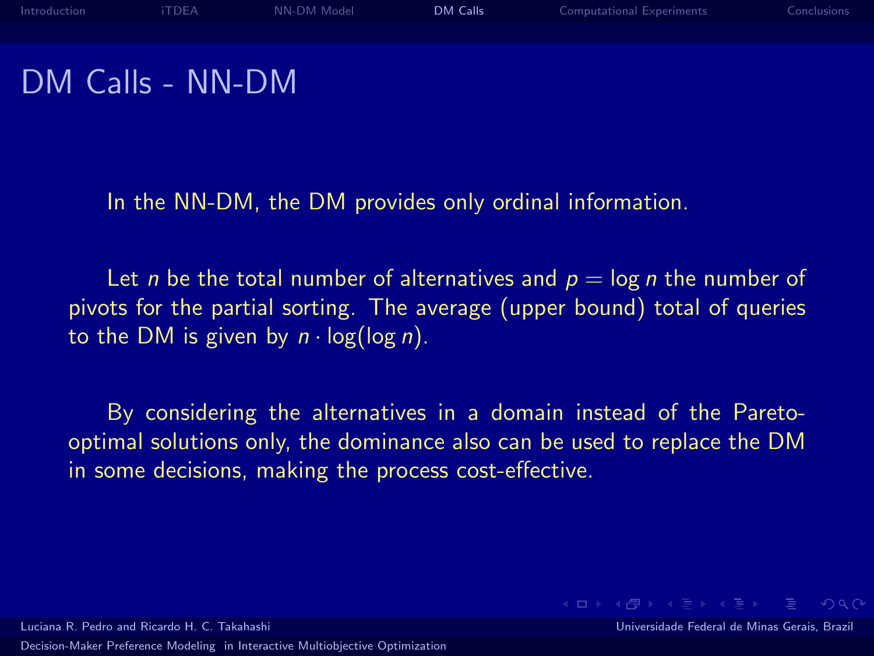### DM Calls - NN-DM

In the NN-DM, the DM provides only ordinal information.

Let *n* be the total number of alternatives and  $p = \log n$  the number of pivots for the partial sorting. The average (upper bound) total of queries to the DM is given by  $n \cdot \log(\log n)$ .

By considering the alternatives in a domain instead of the Paretooptimal solutions only, the dominance also can be used to replace the DM in some decisions, making the process cost-effective.

**KEIN KARIK BI KEIN DE KORO** 

Luciana R. Pedro and Ricardo H. C. Takahashi Universidade Federal de Minas Gerais, Brazil [Decision-Maker Preference Modeling in Interactive Multiobjective Optimization](#page-0-0)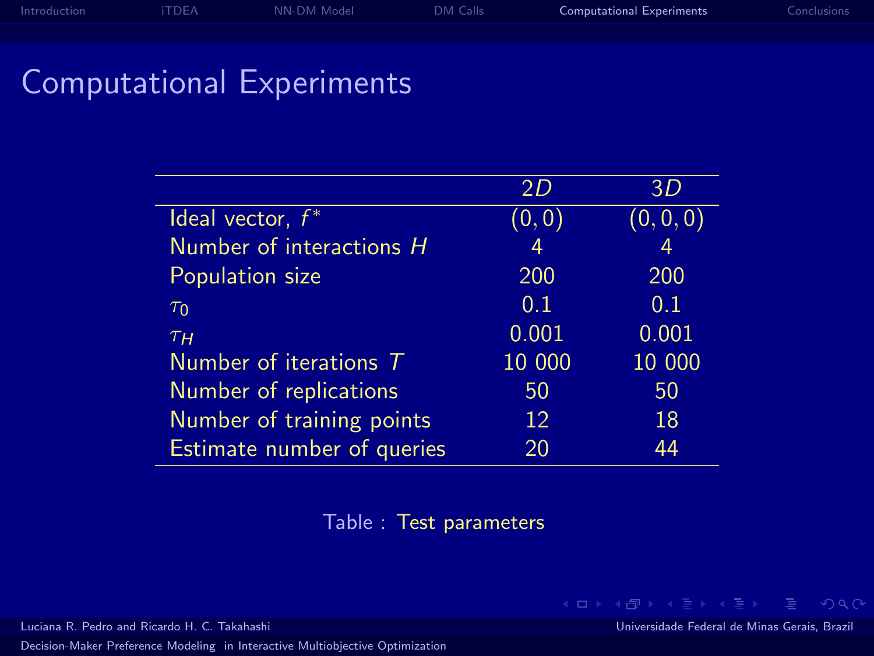#### Computational Experiments

|                                   | 2D     | 3D             |
|-----------------------------------|--------|----------------|
| Ideal vector, $f^*$               | (0,0)  | (0, 0, 0)      |
| Number of interactions H          | 4      | $\overline{4}$ |
| Population size                   | 200    | 200            |
| $\tau_0$                          | 0.1    | 0.1            |
| T <sub>H</sub>                    | 0.001  | 0.001          |
| Number of iterations $\mathcal T$ | 10 000 | 10 000         |
| Number of replications            | 50     | 50             |
| Number of training points         | 12     | 18             |
| Estimate number of queries        | 20     | 44             |

Table : Test parameters

[Decision-Maker Preference Modeling in Interactive Multiobjective Optimization](#page-0-0)

Luciana R. Pedro and Ricardo H. C. Takahashi Universidade Federal de Minas Gerais, Brazil

<span id="page-11-0"></span>K ロ ▶ K 個 ▶ K ヨ ▶ K ヨ ▶ │ ヨ │ め Q Q ◇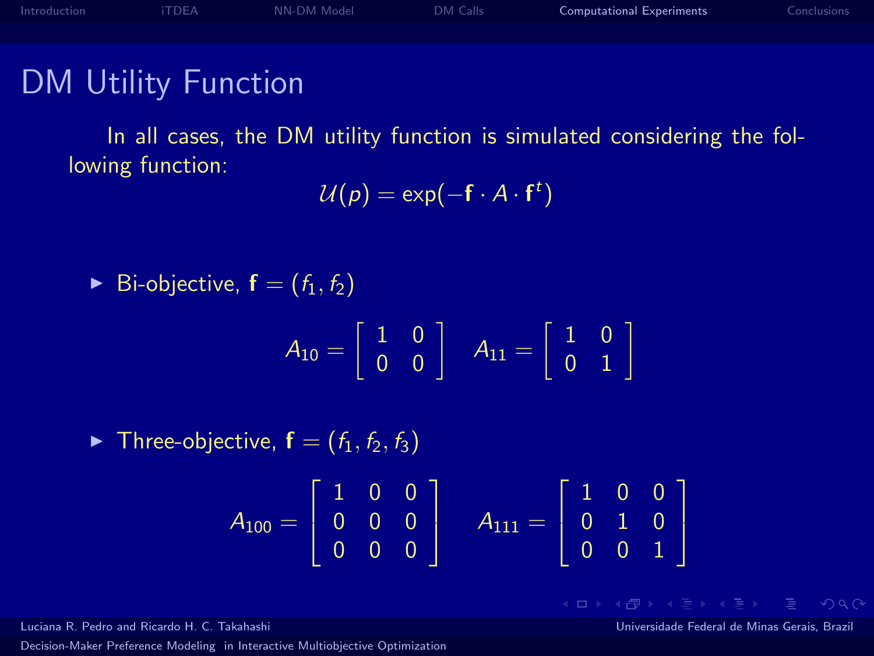#### DM Utility Function

In all cases, the DM utility function is simulated considering the following function:

$$
\mathcal{U}(\rho) = \exp(-\mathbf{f} \cdot A \cdot \mathbf{f}^t)
$$

$$
\blacktriangleright
$$
 Bi-objective,  $f = (f_1, f_2)$ 

$$
A_{10} = \left[ \begin{array}{cc} 1 & 0 \\ 0 & 0 \end{array} \right] \quad A_{11} = \left[ \begin{array}{cc} 1 & 0 \\ 0 & 1 \end{array} \right]
$$

 $\blacktriangleright$  Three-objective,  $f = (f_1, f_2, f_3)$ 

$$
A_{100}=\left[\begin{array}{ccc}1 & 0 & 0\\0 & 0 & 0\\0 & 0 & 0\end{array}\right] \quad A_{111}=\left[\begin{array}{ccc}1 & 0 & 0\\0 & 1 & 0\\0 & 0 & 1\end{array}\right]
$$

[Decision-Maker Preference Modeling in Interactive Multiobjective Optimization](#page-0-0)

Luciana R. Pedro and Ricardo H. C. Takahashi Universidade Federal de Minas Gerais, Brazil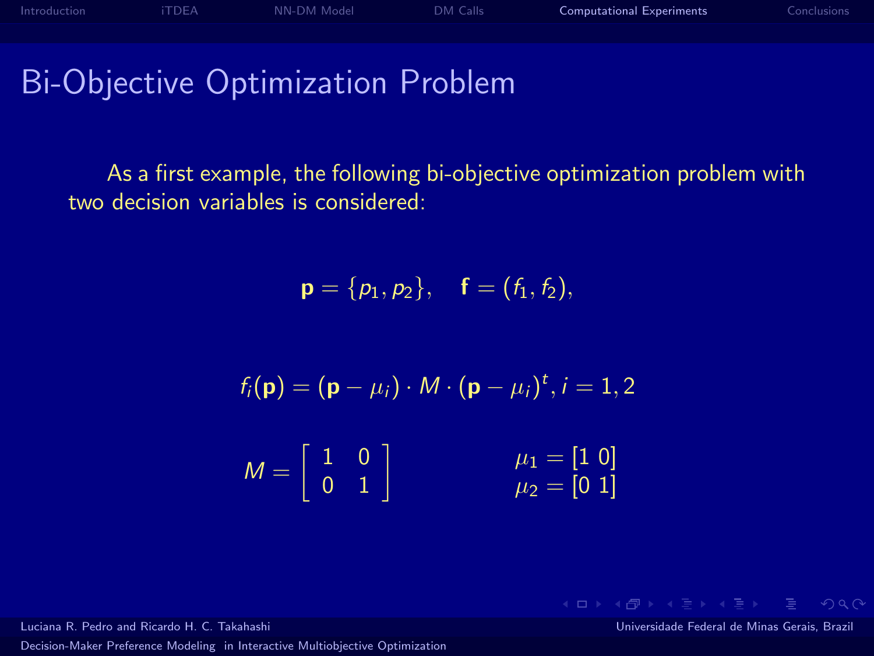Bi-Objective Optimization Problem

As a first example, the following bi-objective optimization problem with two decision variables is considered:

$$
\mathbf{p} = \{p_1, p_2\}, \quad \mathbf{f} = (f_1, f_2),
$$

$$
f_i(\mathbf{p}) = (\mathbf{p} - \mu_i) \cdot M \cdot (\mathbf{p} - \mu_i)^t, i = 1, 2
$$

$$
M = \begin{bmatrix} 1 & 0 \\ 0 & 1 \end{bmatrix} \qquad \qquad \mu_1 = \begin{bmatrix} 1 & 0 \\ \mu_2 = \begin{bmatrix} 0 & 1 \end{bmatrix} \end{bmatrix}
$$

[Decision-Maker Preference Modeling in Interactive Multiobjective Optimization](#page-0-0)

Luciana R. Pedro and Ricardo H. C. Takahashi Universidade Federal de Minas Gerais, Brazil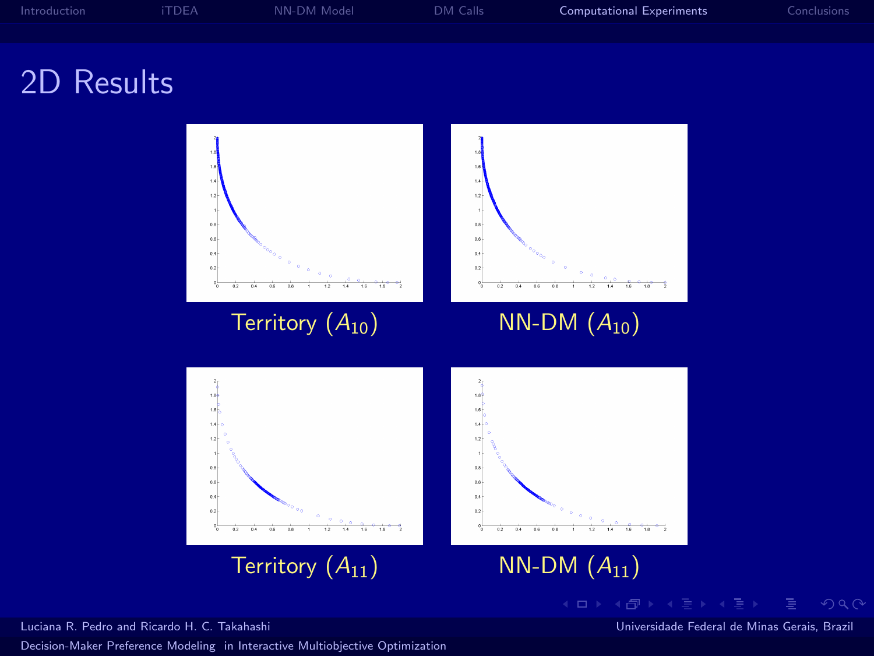

#### 2D Results



[Decision-Maker Preference Modeling in Interactive Multiobjective Optimization](#page-0-0)

Luciana R. Pedro and Ricardo H. C. Takahashi Universidade Federal de Minas Gerais, Brazil

 $QQQ$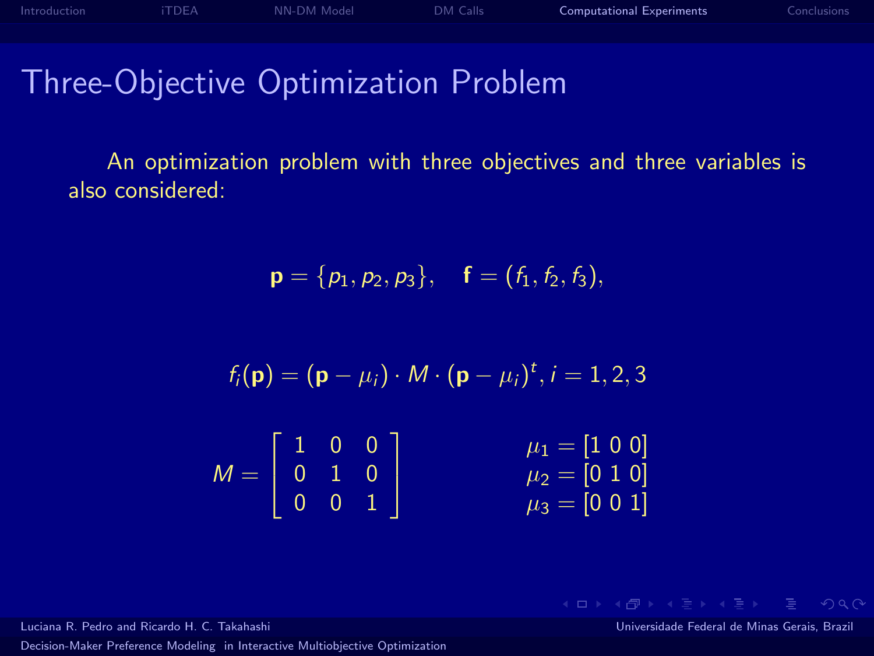### Three-Objective Optimization Problem

An optimization problem with three objectives and three variables is also considered:

$$
\mathbf{p} = \{p_1, p_2, p_3\}, \quad \mathbf{f} = (f_1, f_2, f_3),
$$

$$
f_i(\mathbf{p}) = (\mathbf{p} - \mu_i) \cdot M \cdot (\mathbf{p} - \mu_i)^t, i = 1, 2, 3
$$

$$
M = \left[ \begin{array}{ccc} 1 & 0 & 0 \\ 0 & 1 & 0 \\ 0 & 0 & 1 \end{array} \right] \qquad \qquad \begin{array}{c} \mu_1 = \left[ 1 & 0 & 0 \right] \\ \mu_2 = \left[ 0 & 1 & 0 \right] \\ \mu_3 = \left[ 0 & 0 & 1 \right] \end{array}
$$

[Decision-Maker Preference Modeling in Interactive Multiobjective Optimization](#page-0-0)

Luciana R. Pedro and Ricardo H. C. Takahashi Universidade Federal de Minas Gerais, Brazil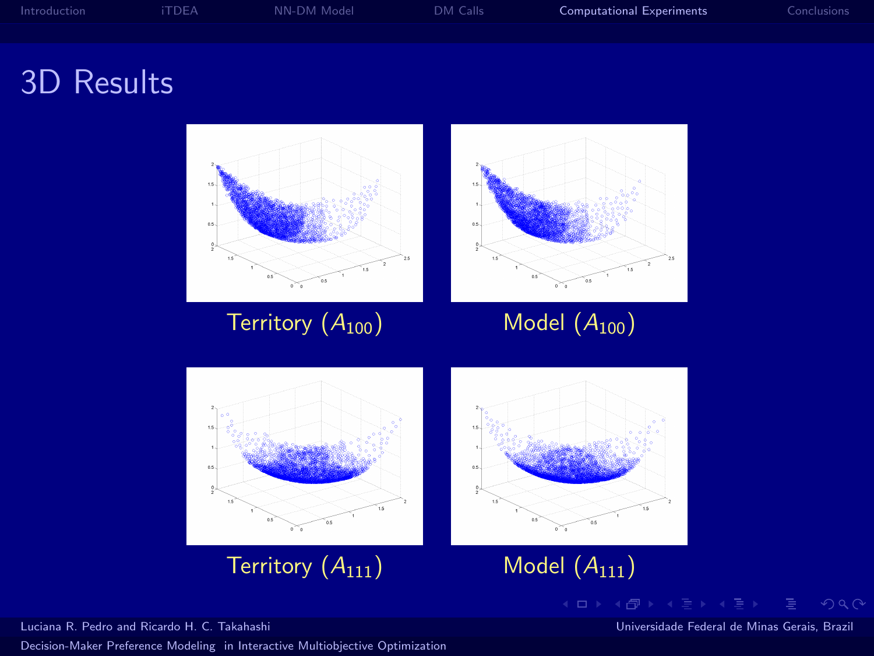

## 3D Results



[Decision-Maker Preference Modeling in Interactive Multiobjective Optimization](#page-0-0)

Luciana R. Pedro and Ricardo H. C. Takahashi Universidade Federal de Minas Gerais, Brazil

 $QQQ$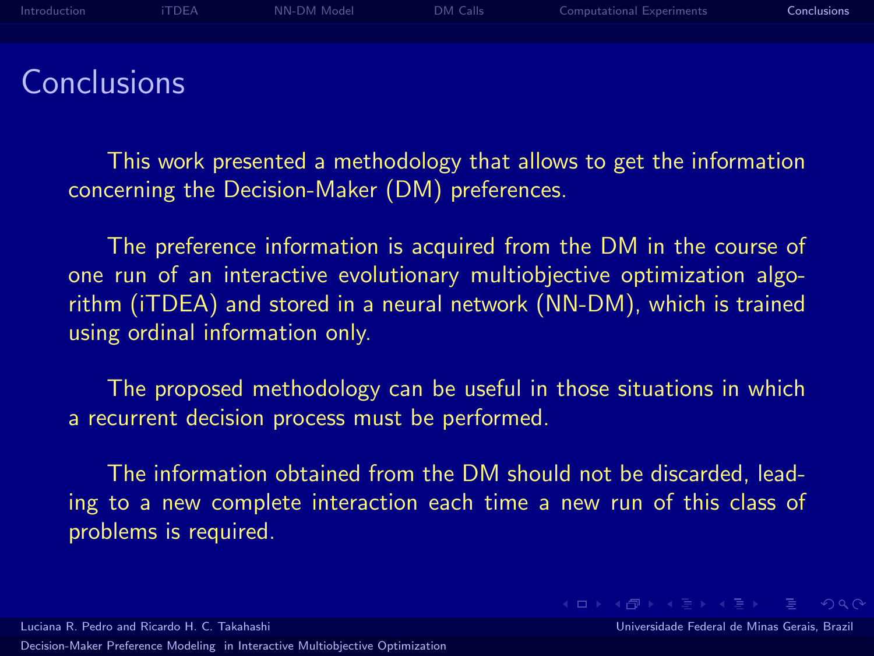[Introduction](#page-1-0) [iTDEA](#page-3-0) [NN-DM Model](#page-6-0) [DM Calls](#page-9-0) [Computational Experiments](#page-11-0) [Conclusions](#page-17-0)

**Conclusions** 

This work presented a methodology that allows to get the information concerning the Decision-Maker (DM) preferences.

The preference information is acquired from the DM in the course of one run of an interactive evolutionary multiobjective optimization algorithm (iTDEA) and stored in a neural network (NN-DM), which is trained using ordinal information only.

The proposed methodology can be useful in those situations in which a recurrent decision process must be performed.

The information obtained from the DM should not be discarded, leading to a new complete interaction each time a new run of this class of problems is required.

Luciana R. Pedro and Ricardo H. C. Takahashi Universidade Federal de Minas Gerais, Brazil [Decision-Maker Preference Modeling in Interactive Multiobjective Optimization](#page-0-0)

<span id="page-17-0"></span>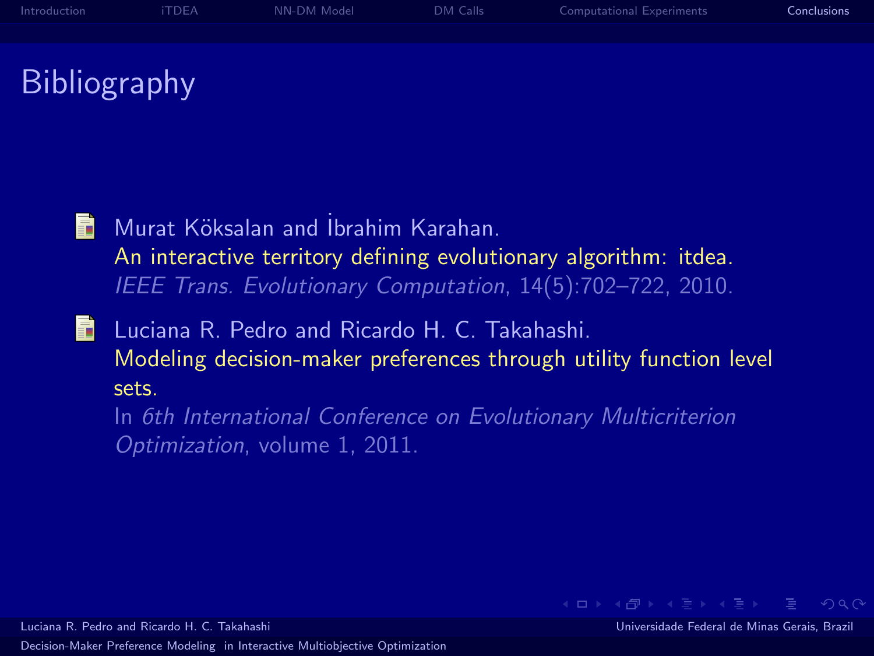

# **Bibliography**

- <span id="page-18-0"></span>Murat Köksalan and İbrahim Karahan. 61 An interactive territory defining evolutionary algorithm: itdea. IEEE Trans. Evolutionary Computation, 14(5):702–722, 2010.
- <span id="page-18-1"></span>6. Luciana R. Pedro and Ricardo H. C. Takahashi. Modeling decision-maker preferences through utility function level sets.

In 6th International Conference on Evolutionary Multicriterion Optimization, volume 1, 2011.

**KEIN KARIK BI KEIN DE KORO**